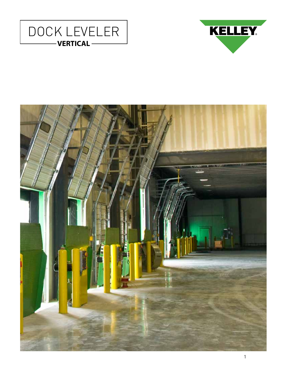



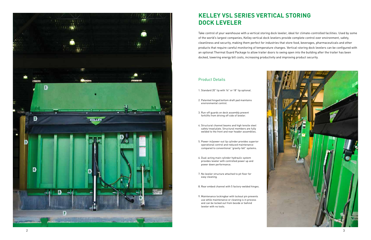## **KELLEY VSL SERIES VERTICAL STORING DOCK LEVELER**

#### Product Details

- 1. Standard 20" lip with 16" or 18" lip optional.
- 2. Patented hinged bottom draft pad maintains environmental control.
- 3. Run-off guards on deck assembly prevent forklifts from driving off side of leveler.
- 4. Structural channel beams and high tensile steel safety tread plate. Structural members are fully welded to the front and rear header assemblies.
- 5. Power-in/power-out lip cylinder provides superior operational control and reduced maintenance compared to conventional "gravity-fall" systems.
- 6. Dual-acting main cylinder hydraulic system provides leveler with controlled power up and power down performance.
- 7. No leveler structure attached to pit floor for easy cleaning.
- 8. Rear embed channel with 5 factory-welded hinges.
- 9. Maintenance lockingbar with lockout pin prevents use while maintenance or cleaning is in process and can be locked out from beside or behind leveler with no tools.



Take control of your warehouse with a vertical storing dock leveler, ideal for climate-controlled facilities. Used by some of the world's largest companies, Kelley vertical dock levelers provide complete control over environment, safety, cleanliness and security, making them perfect for industries that store food, beverages, pharmaceuticals and other products that require careful monitoring of temperature changes. Vertical-storing dock levelers can be configured with an optional Thermal Guard Package to allow trailer doors to swing open into the building after the trailer has been docked, lowering energy bill costs, increasing productivity and improving product security.

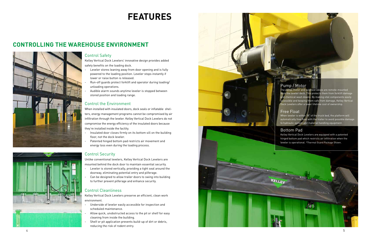# **FEATURES**

### Control the Environment

When installed with insulated doors, dock seals or inflatable shelters, energy management programs cannot be compromised by air infiltration through the leveler. Kelley Vertical Dock Levelers do not compromise the energy efficiency of the insulated doors because they're installed inside the facility.

- Insulated door closes firmly on its bottom sill on the building floor, not the dock leveler.
- Patented hinged bottom pad restricts air movement and energy loss even during the loading process.

- Underside of leveler easily accessible for inspection and scheduled maintenance.
- Allow quick, unobstructed access to the pit or shelf for easy cleaning from inside the building.
- Shelf or pit application prevents build-up of dirt or debris, reducing the risk of rodent entry.

### Control Cleanliness

Kelley Vertical Dock Levelers preserve an efficient, clean work environment.

- Leveler stores leaning away from door opening and is fully powered to the loading position. Leveler stops instantly if lower or raise button is released.
- Run-off guards protect forklift and operator during loading/ unloading operations.
- Audible alarm sounds anytime leveler is stopped between stored position and loading range.

- Leveler is stored vertically, providing a tight seal around the doorway, eliminating potential entry and pilferage.
- Can be designed to allow trailer doors to swing into building to further prevent pilferage and enhance security.

### Control Safety

Kelley Vertical Dock Levelers' innovative design provides added safety benefits on the loading dock.

#### Control Security

Unlike conventional levelers, Kelley Vertical Dock Levelers are mounted behind the dock door to maintain essential security.



## **CONTROLLING THE WAREHOUSE ENVIRONMENT**



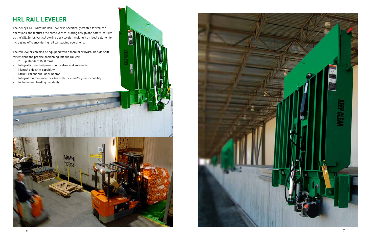

The rail leveler can also be equipped with a manual or hydraulic side shift for efficient and precise positioning into the rail car.

- 20" lip standard (508 mm)
- Integrally mounted power unit, valves and solenoids
- Manual side shift capability
- Structural channel deck beams
- Integral maintenance lock bar with lock-out/tag-out capability
- Includes end loading capability



## **HRL RAIL LEVELER**

The Kelley HRL Hydraulic Rail Leveler is specifically created for rail car operations and features the same vertical storing design and safety features as the VSL Series vertical storing dock leveler, making it an ideal solution for increasing efficiency during rail car loading operations.